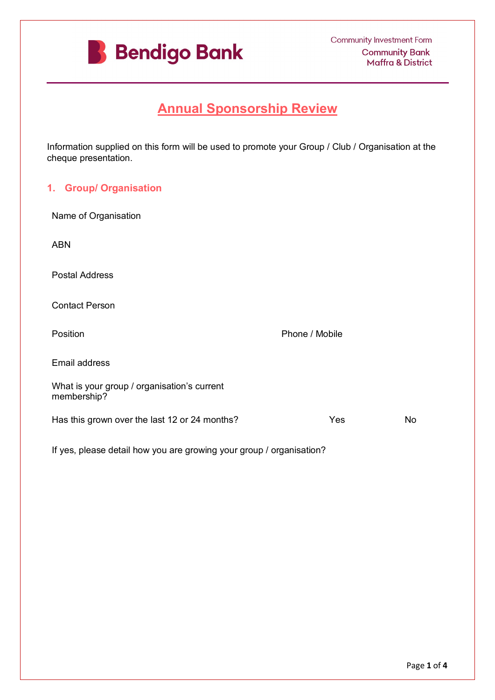

# **Annual Sponsorship Review**

Information supplied on this form will be used to promote your Group / Club / Organisation at the cheque presentation.

## **1. Group/ Organisation**

| Name of Organisation                                       |                                                                      |                |           |
|------------------------------------------------------------|----------------------------------------------------------------------|----------------|-----------|
| <b>ABN</b>                                                 |                                                                      |                |           |
| <b>Postal Address</b>                                      |                                                                      |                |           |
| <b>Contact Person</b>                                      |                                                                      |                |           |
| Position                                                   |                                                                      | Phone / Mobile |           |
| Email address                                              |                                                                      |                |           |
| What is your group / organisation's current<br>membership? |                                                                      |                |           |
| Has this grown over the last 12 or 24 months?              |                                                                      | Yes            | <b>No</b> |
|                                                            | If yes, please detail how you are growing your group / organisation? |                |           |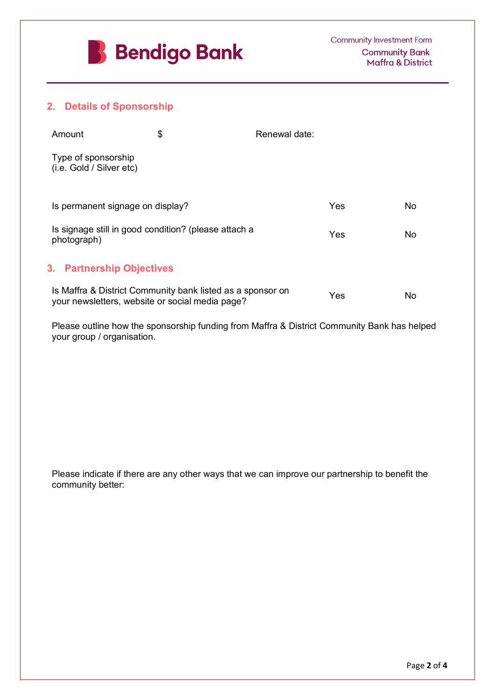

## **2. Details of Sponsorship**

| Amount                                          | Renewal date: |  |
|-------------------------------------------------|---------------|--|
| Type of sponsorship<br>(i.e. Gold / Silver etc) |               |  |

| Is permanent signage on display?                                    | Yes | NΩ  |
|---------------------------------------------------------------------|-----|-----|
| Is signage still in good condition? (please attach a<br>photograph) | Yes | חוח |

## **3. Partnership Objectives**

| Is Maffra & District Community bank listed as a sponsor on<br>your newsletters, website or social media page?             | Yes | No |
|---------------------------------------------------------------------------------------------------------------------------|-----|----|
| Please outline how the sponsorship funding from Maffra & District Community Bank has helped<br>your group / organisation. |     |    |
| Please indicate if there are any other ways that we can improve our partnership to benefit the<br>community better:       |     |    |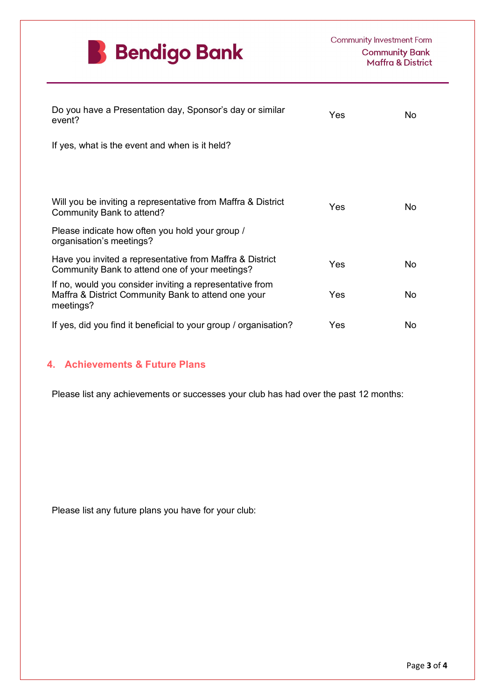

| Do you have a Presentation day, Sponsor's day or similar<br>event?                                                           | Yes | No. |
|------------------------------------------------------------------------------------------------------------------------------|-----|-----|
| If yes, what is the event and when is it held?                                                                               |     |     |
| Will you be inviting a representative from Maffra & District<br>Community Bank to attend?                                    | Yes | No. |
| Please indicate how often you hold your group /<br>organisation's meetings?                                                  |     |     |
| Have you invited a representative from Maffra & District<br>Community Bank to attend one of your meetings?                   | Yes | No. |
| If no, would you consider inviting a representative from<br>Maffra & District Community Bank to attend one your<br>meetings? | Yes | No. |
| If yes, did you find it beneficial to your group / organisation?                                                             | Yes | No  |

## **4. Achievements & Future Plans**

Please list any achievements or successes your club has had over the past 12 months:

Please list any future plans you have for your club: